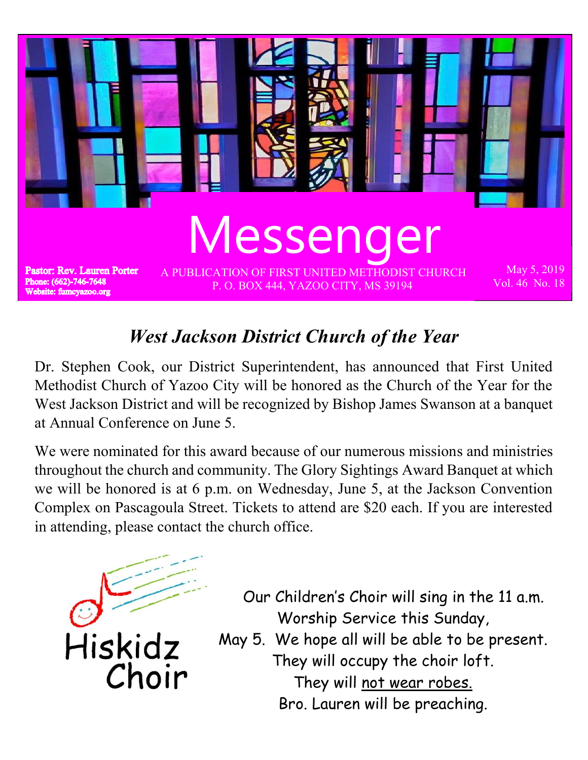

## *West Jackson District Church of the Year*

Dr. Stephen Cook, our District Superintendent, has announced that First United Methodist Church of Yazoo City will be honored as the Church of the Year for the West Jackson District and will be recognized by Bishop James Swanson at a banquet at Annual Conference on June 5.

We were nominated for this award because of our numerous missions and ministries throughout the church and community. The Glory Sightings Award Banquet at which we will be honored is at 6 p.m. on Wednesday, June 5, at the Jackson Convention Complex on Pascagoula Street. Tickets to attend are \$20 each. If you are interested in attending, please contact the church office.



- Our Children's Choir will sing in the 11 a.m. Worship Service this Sunday,
- May 5. We hope all will be able to be present. They will occupy the choir loft. They will not wear robes.

Bro. Lauren will be preaching.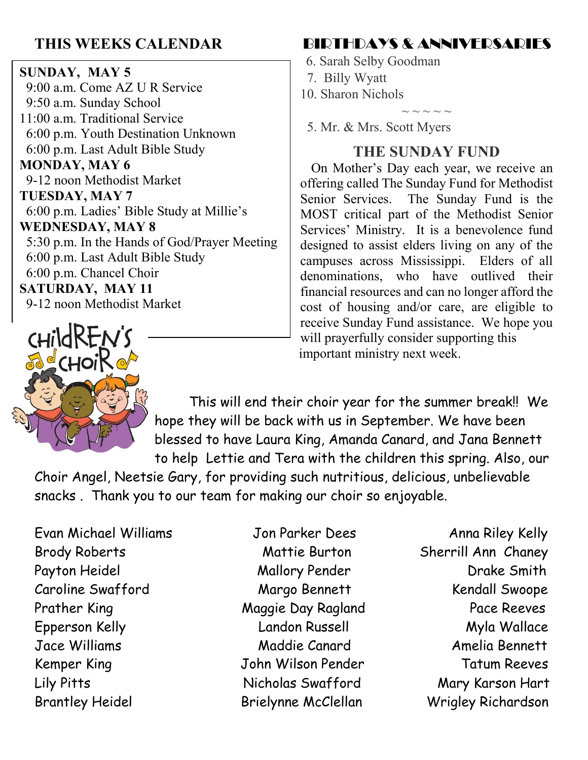#### **SUNDAY, MAY 5** 9:00 a.m. Come AZ U R Service 9:50 a.m. Sunday School 11:00 a.m. Traditional Service 6:00 p.m. Youth Destination Unknown 6:00 p.m. Last Adult Bible Study **MONDAY, MAY 6** 9-12 noon Methodist Market **TUESDAY, MAY 7** 6:00 p.m. Ladies' Bible Study at Millie's **WEDNESDAY, MAY 8** 5:30 p.m. In the Hands of God/Prayer Meeting 6:00 p.m. Last Adult Bible Study 6:00 p.m. Chancel Choir **SATURDAY, MAY 11** 9-12 noon Methodist Market



### **THIS WEEKS CALENDAR BIRTHDAYS & ANNIVERSARIES**

- 6. Sarah Selby Goodman
- 7. Billy Wyatt
- 10. Sharon Nichols

5. Mr. & Mrs. Scott Myers

#### **THE SUNDAY FUND**

 $\sim$   $\sim$   $\sim$   $\sim$   $\sim$ 

On Mother's Day each year, we receive an offering called The Sunday Fund for Methodist Senior Services. The Sunday Fund is the MOST critical part of the Methodist Senior Services' Ministry. It is a benevolence fund designed to assist elders living on any of the campuses across Mississippi. Elders of all denominations, who have outlived their financial resources and can no longer afford the cost of housing and/or care, are eligible to receive Sunday Fund assistance. We hope you will prayerfully consider supporting this important ministry next week.

 This will end their choir year for the summer break!! We hope they will be back with us in September. We have been blessed to have Laura King, Amanda Canard, and Jana Bennett to help Lettie and Tera with the children this spring. Also, our

Choir Angel, Neetsie Gary, for providing such nutritious, delicious, unbelievable snacks . Thank you to our team for making our choir so enjoyable.

Evan Michael Williams Jon Parker Dees Anna Riley Kelly Brody Roberts Mattie Burton Sherrill Ann Chaney Payton Heidel Mallory Pender Drake Smith Caroline Swafford Margo Bennett Kendall Swoope Prather King Maggie Day Ragland Pace Reeves Epperson Kelly Landon Russell Myla Wallace Jace Williams Maddie Canard Amelia Bennett Kemper King Tohn Wilson Pender Tatum Reeves Lily Pitts Nicholas Swafford Mary Karson Hart

Brantley Heidel Brielynne McClellan Wrigley Richardson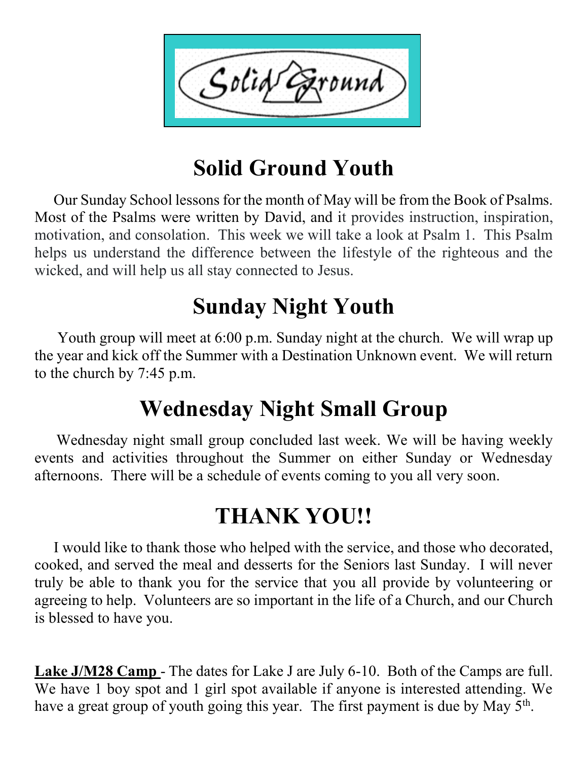

# **Solid Ground Youth**

 Our Sunday School lessons for the month of May will be from the Book of Psalms. Most of the Psalms were written by David, and it provides instruction, inspiration, motivation, and consolation. This week we will take a look at Psalm 1. This Psalm helps us understand the difference between the lifestyle of the righteous and the wicked, and will help us all stay connected to Jesus.

# **Sunday Night Youth**

 Youth group will meet at 6:00 p.m. Sunday night at the church. We will wrap up the year and kick off the Summer with a Destination Unknown event. We will return to the church by 7:45 p.m.

# **Wednesday Night Small Group**

 Wednesday night small group concluded last week. We will be having weekly events and activities throughout the Summer on either Sunday or Wednesday afternoons. There will be a schedule of events coming to you all very soon.

# **THANK YOU!!**

 I would like to thank those who helped with the service, and those who decorated, cooked, and served the meal and desserts for the Seniors last Sunday. I will never truly be able to thank you for the service that you all provide by volunteering or agreeing to help. Volunteers are so important in the life of a Church, and our Church is blessed to have you.

**Lake J/M28 Camp** - The dates for Lake J are July 6-10. Both of the Camps are full. We have 1 boy spot and 1 girl spot available if anyone is interested attending. We have a great group of youth going this year. The first payment is due by May  $5<sup>th</sup>$ .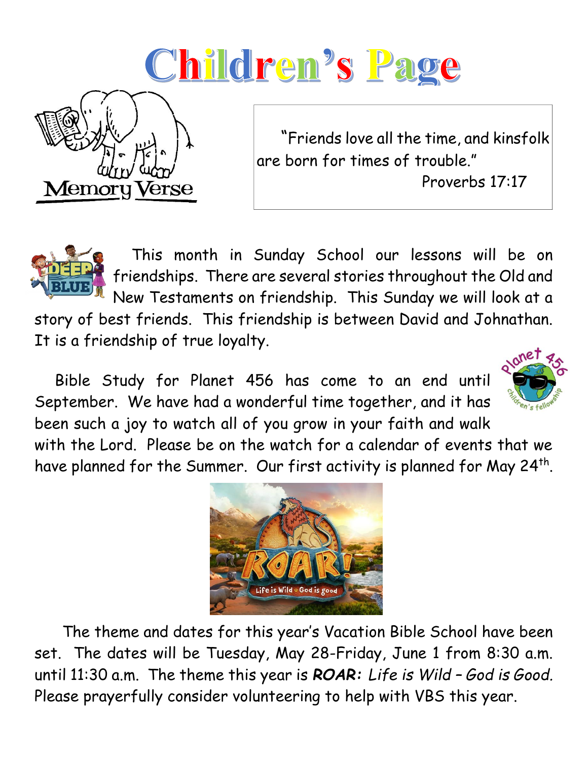



 "Friends love all the time, and kinsfolk are born for times of trouble."

Proverbs 17:17



 This month in Sunday School our lessons will be on friendships. There are several stories throughout the Old and New Testaments on friendship. This Sunday we will look at a

story of best friends. This friendship is between David and Johnathan. It is a friendship of true loyalty.

 Bible Study for Planet 456 has come to an end until September. We have had a wonderful time together, and it has been such a joy to watch all of you grow in your faith and walk



with the Lord. Please be on the watch for a calendar of events that we have planned for the Summer. Our first activity is planned for May 24<sup>th</sup>.



 The theme and dates for this year's Vacation Bible School have been set. The dates will be Tuesday, May 28-Friday, June 1 from 8:30 a.m. until 11:30 a.m. The theme this year is *ROAR: Life is Wild – God is Good.*  Please prayerfully consider volunteering to help with VBS this year.